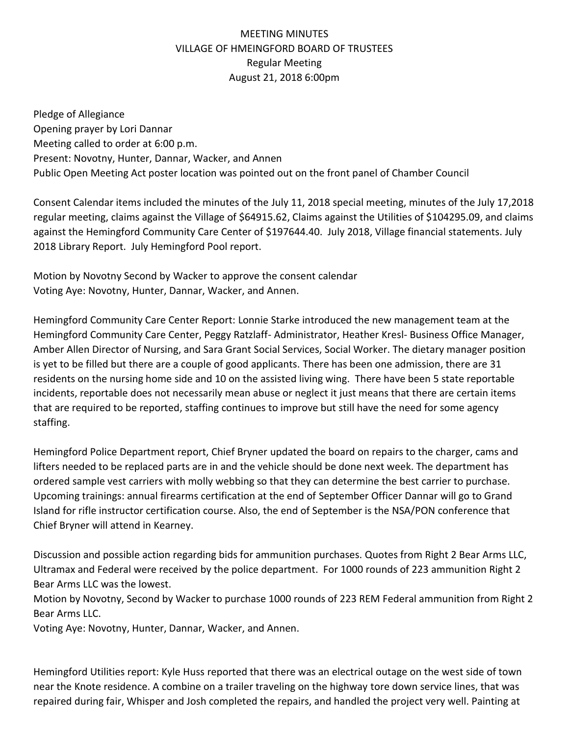## MEETING MINUTES VILLAGE OF HMEINGFORD BOARD OF TRUSTEES Regular Meeting August 21, 2018 6:00pm

Pledge of Allegiance Opening prayer by Lori Dannar Meeting called to order at 6:00 p.m. Present: Novotny, Hunter, Dannar, Wacker, and Annen Public Open Meeting Act poster location was pointed out on the front panel of Chamber Council

Consent Calendar items included the minutes of the July 11, 2018 special meeting, minutes of the July 17,2018 regular meeting, claims against the Village of \$64915.62, Claims against the Utilities of \$104295.09, and claims against the Hemingford Community Care Center of \$197644.40. July 2018, Village financial statements. July 2018 Library Report. July Hemingford Pool report.

Motion by Novotny Second by Wacker to approve the consent calendar Voting Aye: Novotny, Hunter, Dannar, Wacker, and Annen.

Hemingford Community Care Center Report: Lonnie Starke introduced the new management team at the Hemingford Community Care Center, Peggy Ratzlaff- Administrator, Heather Kresl- Business Office Manager, Amber Allen Director of Nursing, and Sara Grant Social Services, Social Worker. The dietary manager position is yet to be filled but there are a couple of good applicants. There has been one admission, there are 31 residents on the nursing home side and 10 on the assisted living wing. There have been 5 state reportable incidents, reportable does not necessarily mean abuse or neglect it just means that there are certain items that are required to be reported, staffing continues to improve but still have the need for some agency staffing.

Hemingford Police Department report, Chief Bryner updated the board on repairs to the charger, cams and lifters needed to be replaced parts are in and the vehicle should be done next week. The department has ordered sample vest carriers with molly webbing so that they can determine the best carrier to purchase. Upcoming trainings: annual firearms certification at the end of September Officer Dannar will go to Grand Island for rifle instructor certification course. Also, the end of September is the NSA/PON conference that Chief Bryner will attend in Kearney.

Discussion and possible action regarding bids for ammunition purchases. Quotes from Right 2 Bear Arms LLC, Ultramax and Federal were received by the police department. For 1000 rounds of 223 ammunition Right 2 Bear Arms LLC was the lowest.

Motion by Novotny, Second by Wacker to purchase 1000 rounds of 223 REM Federal ammunition from Right 2 Bear Arms LLC.

Voting Aye: Novotny, Hunter, Dannar, Wacker, and Annen.

Hemingford Utilities report: Kyle Huss reported that there was an electrical outage on the west side of town near the Knote residence. A combine on a trailer traveling on the highway tore down service lines, that was repaired during fair, Whisper and Josh completed the repairs, and handled the project very well. Painting at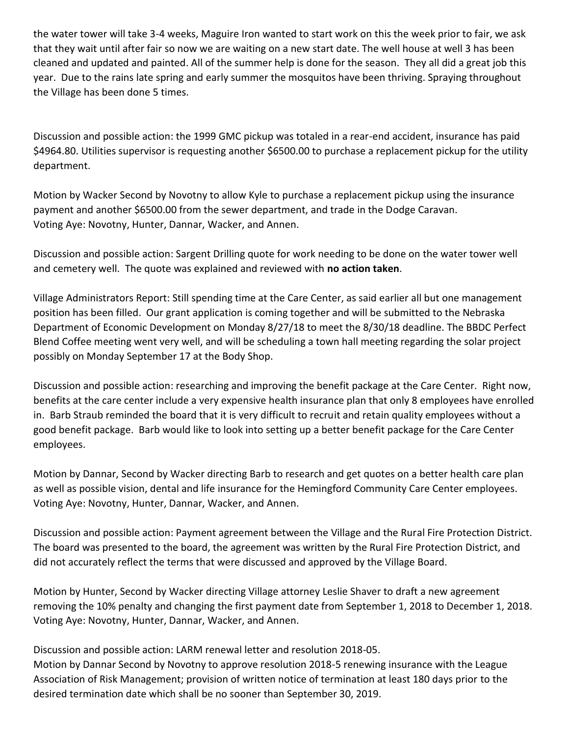the water tower will take 3-4 weeks, Maguire Iron wanted to start work on this the week prior to fair, we ask that they wait until after fair so now we are waiting on a new start date. The well house at well 3 has been cleaned and updated and painted. All of the summer help is done for the season. They all did a great job this year. Due to the rains late spring and early summer the mosquitos have been thriving. Spraying throughout the Village has been done 5 times.

Discussion and possible action: the 1999 GMC pickup was totaled in a rear-end accident, insurance has paid \$4964.80. Utilities supervisor is requesting another \$6500.00 to purchase a replacement pickup for the utility department.

Motion by Wacker Second by Novotny to allow Kyle to purchase a replacement pickup using the insurance payment and another \$6500.00 from the sewer department, and trade in the Dodge Caravan. Voting Aye: Novotny, Hunter, Dannar, Wacker, and Annen.

Discussion and possible action: Sargent Drilling quote for work needing to be done on the water tower well and cemetery well. The quote was explained and reviewed with **no action taken**.

Village Administrators Report: Still spending time at the Care Center, as said earlier all but one management position has been filled. Our grant application is coming together and will be submitted to the Nebraska Department of Economic Development on Monday 8/27/18 to meet the 8/30/18 deadline. The BBDC Perfect Blend Coffee meeting went very well, and will be scheduling a town hall meeting regarding the solar project possibly on Monday September 17 at the Body Shop.

Discussion and possible action: researching and improving the benefit package at the Care Center. Right now, benefits at the care center include a very expensive health insurance plan that only 8 employees have enrolled in. Barb Straub reminded the board that it is very difficult to recruit and retain quality employees without a good benefit package. Barb would like to look into setting up a better benefit package for the Care Center employees.

Motion by Dannar, Second by Wacker directing Barb to research and get quotes on a better health care plan as well as possible vision, dental and life insurance for the Hemingford Community Care Center employees. Voting Aye: Novotny, Hunter, Dannar, Wacker, and Annen.

Discussion and possible action: Payment agreement between the Village and the Rural Fire Protection District. The board was presented to the board, the agreement was written by the Rural Fire Protection District, and did not accurately reflect the terms that were discussed and approved by the Village Board.

Motion by Hunter, Second by Wacker directing Village attorney Leslie Shaver to draft a new agreement removing the 10% penalty and changing the first payment date from September 1, 2018 to December 1, 2018. Voting Aye: Novotny, Hunter, Dannar, Wacker, and Annen.

Discussion and possible action: LARM renewal letter and resolution 2018-05.

Motion by Dannar Second by Novotny to approve resolution 2018-5 renewing insurance with the League Association of Risk Management; provision of written notice of termination at least 180 days prior to the desired termination date which shall be no sooner than September 30, 2019.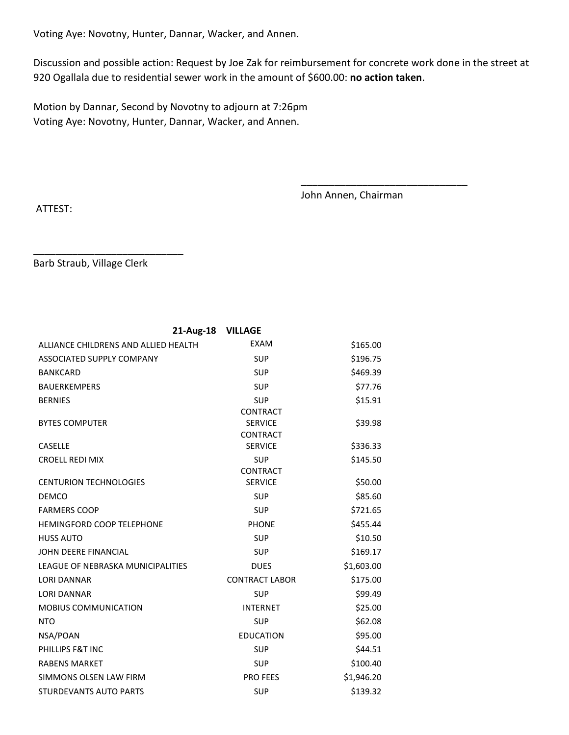Voting Aye: Novotny, Hunter, Dannar, Wacker, and Annen.

Discussion and possible action: Request by Joe Zak for reimbursement for concrete work done in the street at 920 Ogallala due to residential sewer work in the amount of \$600.00: **no action taken**.

Motion by Dannar, Second by Novotny to adjourn at 7:26pm Voting Aye: Novotny, Hunter, Dannar, Wacker, and Annen.

John Annen, Chairman

\_\_\_\_\_\_\_\_\_\_\_\_\_\_\_\_\_\_\_\_\_\_\_\_\_\_\_\_\_\_

ATTEST:

Barb Straub, Village Clerk

\_\_\_\_\_\_\_\_\_\_\_\_\_\_\_\_\_\_\_\_\_\_\_\_\_\_\_

| 21-Aug-18                            | <b>VILLAGE</b>        |            |
|--------------------------------------|-----------------------|------------|
| ALLIANCE CHILDRENS AND ALLIED HEALTH | <b>EXAM</b>           | \$165.00   |
| ASSOCIATED SUPPLY COMPANY            | <b>SUP</b>            | \$196.75   |
| <b>BANKCARD</b>                      | <b>SUP</b>            | \$469.39   |
| <b>BAUERKEMPERS</b>                  | <b>SUP</b>            | \$77.76    |
| <b>BERNIES</b>                       | <b>SUP</b>            | \$15.91    |
|                                      | <b>CONTRACT</b>       |            |
| <b>BYTES COMPUTER</b>                | <b>SERVICE</b>        | \$39.98    |
|                                      | <b>CONTRACT</b>       |            |
| <b>CASELLE</b>                       | <b>SERVICE</b>        | \$336.33   |
| <b>CROELL REDI MIX</b>               | <b>SUP</b>            | \$145.50   |
|                                      | <b>CONTRACT</b>       |            |
| <b>CENTURION TECHNOLOGIES</b>        | <b>SERVICE</b>        | \$50.00    |
| <b>DEMCO</b>                         | <b>SUP</b>            | \$85.60    |
| <b>FARMERS COOP</b>                  | <b>SUP</b>            | \$721.65   |
| <b>HEMINGFORD COOP TELEPHONE</b>     | <b>PHONE</b>          | \$455.44   |
| <b>HUSS AUTO</b>                     | <b>SUP</b>            | \$10.50    |
| JOHN DEERE FINANCIAL                 | <b>SUP</b>            | \$169.17   |
| LEAGUE OF NEBRASKA MUNICIPALITIES    | <b>DUES</b>           | \$1,603.00 |
| <b><i>IORI DANNAR</i></b>            | <b>CONTRACT LABOR</b> | \$175.00   |
| <b>LORI DANNAR</b>                   | <b>SUP</b>            | \$99.49    |
| <b>MOBIUS COMMUNICATION</b>          | <b>INTERNET</b>       | \$25.00    |
| <b>NTO</b>                           | <b>SUP</b>            | \$62.08    |
| NSA/POAN                             | <b>EDUCATION</b>      | \$95.00    |
| PHILLIPS F&T INC                     | <b>SUP</b>            | \$44.51    |
| <b>RABENS MARKET</b>                 | <b>SUP</b>            | \$100.40   |
| SIMMONS OLSEN LAW FIRM               | <b>PRO FEES</b>       | \$1,946.20 |
| <b>STURDEVANTS AUTO PARTS</b>        | <b>SUP</b>            | \$139.32   |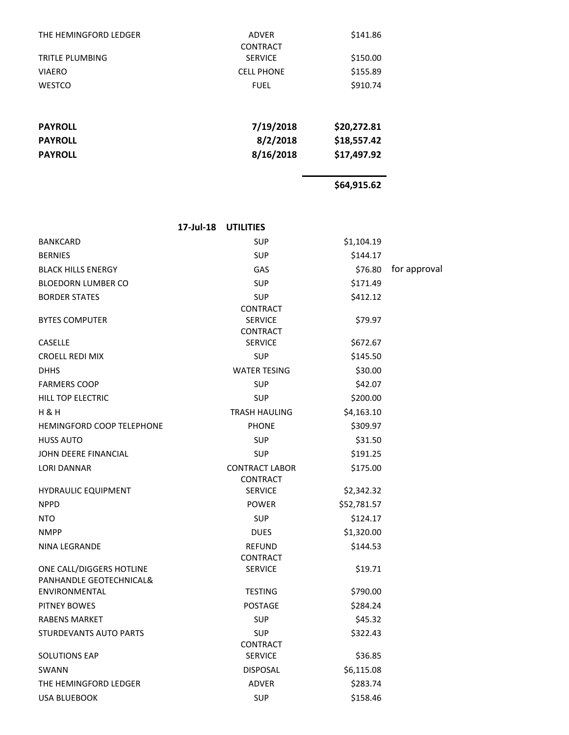| THE HEMINGFORD LEDGER  | <b>ADVER</b><br><b>CONTRACT</b> | \$141.86    |
|------------------------|---------------------------------|-------------|
| <b>TRITLE PLUMBING</b> | <b>SERVICE</b>                  | \$150.00    |
| <b>VIAERO</b>          | <b>CELL PHONE</b>               | \$155.89    |
| <b>WESTCO</b>          | <b>FUEL</b>                     | \$910.74    |
|                        |                                 |             |
| <b>PAYROLL</b>         | 7/19/2018                       | \$20,272.81 |
| <b>PAYROLL</b>         | 8/2/2018                        | \$18,557.42 |
| <b>PAYROLL</b>         | 8/16/2018                       | \$17,497.92 |
|                        |                                 |             |

**\$64,915.62** 

|                                                     | 17-Jul-18 | <b>UTILITIES</b>                                     |             |              |
|-----------------------------------------------------|-----------|------------------------------------------------------|-------------|--------------|
| <b>BANKCARD</b>                                     |           | <b>SUP</b>                                           | \$1,104.19  |              |
| <b>BERNIES</b>                                      |           | <b>SUP</b>                                           | \$144.17    |              |
| <b>BLACK HILLS ENERGY</b>                           |           | GAS                                                  | \$76.80     | for approval |
| <b>BLOEDORN LUMBER CO</b>                           |           | <b>SUP</b>                                           | \$171.49    |              |
| <b>BORDER STATES</b>                                |           | <b>SUP</b>                                           | \$412.12    |              |
| <b>BYTES COMPUTER</b>                               |           | <b>CONTRACT</b><br><b>SERVICE</b><br><b>CONTRACT</b> | \$79.97     |              |
| <b>CASELLE</b>                                      |           | <b>SERVICE</b>                                       | \$672.67    |              |
| <b>CROELL REDI MIX</b>                              |           | <b>SUP</b>                                           | \$145.50    |              |
| <b>DHHS</b>                                         |           | <b>WATER TESING</b>                                  | \$30.00     |              |
| <b>FARMERS COOP</b>                                 |           | <b>SUP</b>                                           | \$42.07     |              |
| <b>HILL TOP ELECTRIC</b>                            |           | <b>SUP</b>                                           | \$200.00    |              |
| <b>H &amp; H</b>                                    |           | <b>TRASH HAULING</b>                                 | \$4,163.10  |              |
| <b>HEMINGFORD COOP TELEPHONE</b>                    |           | <b>PHONE</b>                                         | \$309.97    |              |
| <b>HUSS AUTO</b>                                    |           | <b>SUP</b>                                           | \$31.50     |              |
| JOHN DEERE FINANCIAL                                |           | <b>SUP</b>                                           | \$191.25    |              |
| <b>LORI DANNAR</b>                                  |           | <b>CONTRACT LABOR</b><br><b>CONTRACT</b>             | \$175.00    |              |
| <b>HYDRAULIC EQUIPMENT</b>                          |           | <b>SERVICE</b>                                       | \$2,342.32  |              |
| <b>NPPD</b>                                         |           | <b>POWER</b>                                         | \$52,781.57 |              |
| <b>NTO</b>                                          |           | <b>SUP</b>                                           | \$124.17    |              |
| <b>NMPP</b>                                         |           | <b>DUES</b>                                          | \$1,320.00  |              |
| NINA LEGRANDE                                       |           | <b>REFUND</b><br><b>CONTRACT</b>                     | \$144.53    |              |
| ONE CALL/DIGGERS HOTLINE<br>PANHANDLE GEOTECHNICAL& |           | <b>SERVICE</b>                                       | \$19.71     |              |
| ENVIRONMENTAL                                       |           | <b>TESTING</b>                                       | \$790.00    |              |
| PITNEY BOWES                                        |           | <b>POSTAGE</b>                                       | \$284.24    |              |
| <b>RABENS MARKET</b>                                |           | <b>SUP</b>                                           | \$45.32     |              |
| STURDEVANTS AUTO PARTS                              |           | <b>SUP</b><br>CONTRACT                               | \$322.43    |              |
| SOLUTIONS EAP                                       |           | <b>SERVICE</b>                                       | \$36.85     |              |
| <b>SWANN</b>                                        |           | <b>DISPOSAL</b>                                      | \$6,115.08  |              |
| THE HEMINGFORD LEDGER                               |           | ADVER                                                | \$283.74    |              |
| <b>USA BLUEBOOK</b>                                 |           | <b>SUP</b>                                           | \$158.46    |              |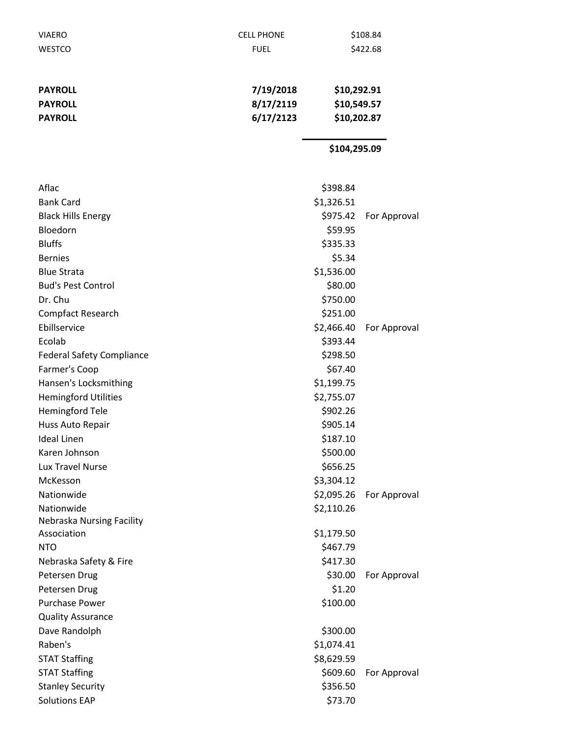| <b>VIAERO</b>                           | <b>CELL PHONE</b> |              | \$108.84     |  |
|-----------------------------------------|-------------------|--------------|--------------|--|
| WESTCO                                  | <b>FUEL</b>       |              | \$422.68     |  |
|                                         |                   |              |              |  |
| <b>PAYROLL</b>                          | 7/19/2018         | \$10,292.91  |              |  |
| <b>PAYROLL</b>                          | 8/17/2119         | \$10,549.57  |              |  |
| <b>PAYROLL</b>                          | 6/17/2123         | \$10,202.87  |              |  |
|                                         |                   |              |              |  |
|                                         |                   | \$104,295.09 |              |  |
| Aflac                                   |                   | \$398.84     |              |  |
| <b>Bank Card</b>                        |                   | \$1,326.51   |              |  |
| <b>Black Hills Energy</b>               |                   | \$975.42     | For Approval |  |
| Bloedorn                                |                   | \$59.95      |              |  |
| <b>Bluffs</b>                           |                   | \$335.33     |              |  |
| <b>Bernies</b>                          |                   | \$5.34       |              |  |
| <b>Blue Strata</b>                      |                   | \$1,536.00   |              |  |
| <b>Bud's Pest Control</b>               |                   |              |              |  |
|                                         |                   | \$80.00      |              |  |
| Dr. Chu                                 |                   | \$750.00     |              |  |
| <b>Compfact Research</b>                |                   | \$251.00     |              |  |
| Ebillservice                            |                   | \$2,466.40   | For Approval |  |
| Ecolab                                  |                   | \$393.44     |              |  |
| <b>Federal Safety Compliance</b>        |                   | \$298.50     |              |  |
| Farmer's Coop                           |                   | \$67.40      |              |  |
| Hansen's Locksmithing                   |                   | \$1,199.75   |              |  |
| <b>Hemingford Utilities</b>             |                   | \$2,755.07   |              |  |
| <b>Hemingford Tele</b>                  |                   | \$902.26     |              |  |
| Huss Auto Repair<br><b>Ideal Linen</b>  |                   | \$905.14     |              |  |
|                                         |                   | \$187.10     |              |  |
| Karen Johnson                           |                   | \$500.00     |              |  |
| Lux Travel Nurse                        |                   | \$656.25     |              |  |
| McKesson                                |                   | \$3,304.12   |              |  |
| Nationwide                              |                   | \$2,095.26   | For Approval |  |
| Nationwide<br>Nebraska Nursing Facility |                   | \$2,110.26   |              |  |
| Association                             |                   | \$1,179.50   |              |  |
| <b>NTO</b>                              |                   | \$467.79     |              |  |
| Nebraska Safety & Fire                  |                   | \$417.30     |              |  |
| Petersen Drug                           |                   | \$30.00      | For Approval |  |
| Petersen Drug                           |                   | \$1.20       |              |  |
| <b>Purchase Power</b>                   |                   | \$100.00     |              |  |
| <b>Quality Assurance</b>                |                   |              |              |  |
| Dave Randolph                           |                   | \$300.00     |              |  |
| Raben's                                 |                   | \$1,074.41   |              |  |
| <b>STAT Staffing</b>                    |                   | \$8,629.59   |              |  |
| <b>STAT Staffing</b>                    |                   | \$609.60     | For Approval |  |
| <b>Stanley Security</b>                 |                   | \$356.50     |              |  |
| <b>Solutions EAP</b>                    |                   | \$73.70      |              |  |
|                                         |                   |              |              |  |